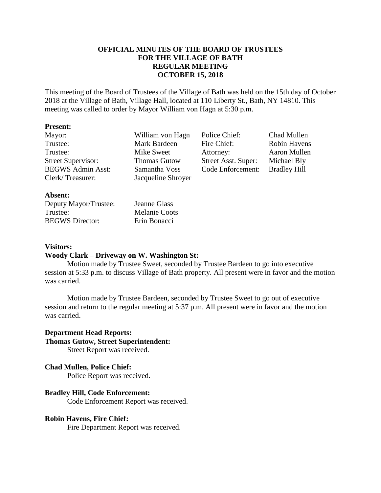## **OFFICIAL MINUTES OF THE BOARD OF TRUSTEES FOR THE VILLAGE OF BATH REGULAR MEETING OCTOBER 15, 2018**

This meeting of the Board of Trustees of the Village of Bath was held on the 15th day of October 2018 at the Village of Bath, Village Hall, located at 110 Liberty St., Bath, NY 14810. This meeting was called to order by Mayor William von Hagn at 5:30 p.m.

#### **Present:**

| Mayor:                    | William von Hagn    | Police Chief:       | Chad Mullen         |
|---------------------------|---------------------|---------------------|---------------------|
| Trustee:                  | Mark Bardeen        | Fire Chief:         | Robin Havens        |
| Trustee:                  | Mike Sweet          | Attorney:           | Aaron Mullen        |
| <b>Street Supervisor:</b> | <b>Thomas Gutow</b> | Street Asst. Super: | Michael Bly         |
| <b>BEGWS Admin Asst:</b>  | Samantha Voss       | Code Enforcement:   | <b>Bradley Hill</b> |
| Clerk/Treasurer:          | Jacqueline Shroyer  |                     |                     |
| Absent:                   |                     |                     |                     |

| Jeanne  |
|---------|
| Melani  |
| Erin Bo |
|         |

Glass ie Coots onacci -

# **Visitors: Woody Clark – Driveway on W. Washington St:**

## Motion made by Trustee Sweet, seconded by Trustee Bardeen to go into executive session at 5:33 p.m. to discuss Village of Bath property. All present were in favor and the motion was carried.

Motion made by Trustee Bardeen, seconded by Trustee Sweet to go out of executive session and return to the regular meeting at 5:37 p.m. All present were in favor and the motion was carried.

### **Department Head Reports: Thomas Gutow, Street Superintendent:** Street Report was received.

# **Chad Mullen, Police Chief:**

Police Report was received.

## **Bradley Hill, Code Enforcement:**

Code Enforcement Report was received.

#### **Robin Havens, Fire Chief:**

Fire Department Report was received.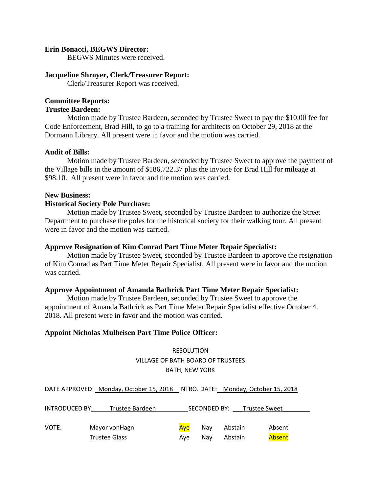#### **Erin Bonacci, BEGWS Director:**

BEGWS Minutes were received.

#### **Jacqueline Shroyer, Clerk/Treasurer Report:**

Clerk/Treasurer Report was received.

#### **Committee Reports:**

## **Trustee Bardeen:**

Motion made by Trustee Bardeen, seconded by Trustee Sweet to pay the \$10.00 fee for Code Enforcement, Brad Hill, to go to a training for architects on October 29, 2018 at the Dormann Library. All present were in favor and the motion was carried.

#### **Audit of Bills:**

Motion made by Trustee Bardeen, seconded by Trustee Sweet to approve the payment of the Village bills in the amount of \$186,722.37 plus the invoice for Brad Hill for mileage at \$98.10. All present were in favor and the motion was carried.

#### **New Business:**

#### **Historical Society Pole Purchase:**

Motion made by Trustee Sweet, seconded by Trustee Bardeen to authorize the Street Department to purchase the poles for the historical society for their walking tour. All present were in favor and the motion was carried.

#### **Approve Resignation of Kim Conrad Part Time Meter Repair Specialist:**

Motion made by Trustee Sweet, seconded by Trustee Bardeen to approve the resignation of Kim Conrad as Part Time Meter Repair Specialist. All present were in favor and the motion was carried.

#### **Approve Appointment of Amanda Bathrick Part Time Meter Repair Specialist:**

Motion made by Trustee Bardeen, seconded by Trustee Sweet to approve the appointment of Amanda Bathrick as Part Time Meter Repair Specialist effective October 4. 2018. All present were in favor and the motion was carried.

#### **Appoint Nicholas Mulheisen Part Time Police Officer:**

RESOLUTION VILLAGE OF BATH BOARD OF TRUSTEES BATH, NEW YORK

DATE APPROVED: Monday, October 15, 2018 INTRO. DATE: Monday, October 15, 2018

| <b>INTRODUCED BY:</b> | Trustee Bardeen      |     | SECONDED BY: | <b>Trustee Sweet</b> |        |
|-----------------------|----------------------|-----|--------------|----------------------|--------|
|                       |                      |     |              |                      |        |
| VOTE:                 | Mayor von Hagn       | Ave | Nav          | Abstain              | Absent |
|                       | <b>Trustee Glass</b> | Ave | Nav          | Abstain              | Absent |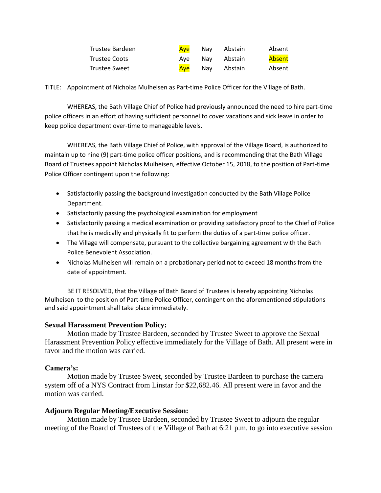| Trustee Bardeen | Ave | Nav Abstain     | Absent |
|-----------------|-----|-----------------|--------|
| Trustee Coots   |     | Ave Nav Abstain | Absent |
| Trustee Sweet   |     | Aye Nay Abstain | Absent |

TITLE: Appointment of Nicholas Mulheisen as Part-time Police Officer for the Village of Bath.

WHEREAS, the Bath Village Chief of Police had previously announced the need to hire part-time police officers in an effort of having sufficient personnel to cover vacations and sick leave in order to keep police department over-time to manageable levels.

WHEREAS, the Bath Village Chief of Police, with approval of the Village Board, is authorized to maintain up to nine (9) part-time police officer positions, and is recommending that the Bath Village Board of Trustees appoint Nicholas Mulheisen, effective October 15, 2018, to the position of Part-time Police Officer contingent upon the following:

- Satisfactorily passing the background investigation conducted by the Bath Village Police Department.
- Satisfactorily passing the psychological examination for employment
- Satisfactorily passing a medical examination or providing satisfactory proof to the Chief of Police that he is medically and physically fit to perform the duties of a part-time police officer.
- The Village will compensate, pursuant to the collective bargaining agreement with the Bath Police Benevolent Association.
- Nicholas Mulheisen will remain on a probationary period not to exceed 18 months from the date of appointment.

BE IT RESOLVED, that the Village of Bath Board of Trustees is hereby appointing Nicholas Mulheisen to the position of Part-time Police Officer, contingent on the aforementioned stipulations and said appointment shall take place immediately.

## **Sexual Harassment Prevention Policy:**

Motion made by Trustee Bardeen, seconded by Trustee Sweet to approve the Sexual Harassment Prevention Policy effective immediately for the Village of Bath. All present were in favor and the motion was carried.

# **Camera's:**

Motion made by Trustee Sweet, seconded by Trustee Bardeen to purchase the camera system off of a NYS Contract from Linstar for \$22,682.46. All present were in favor and the motion was carried.

## **Adjourn Regular Meeting/Executive Session:**

Motion made by Trustee Bardeen, seconded by Trustee Sweet to adjourn the regular meeting of the Board of Trustees of the Village of Bath at 6:21 p.m. to go into executive session